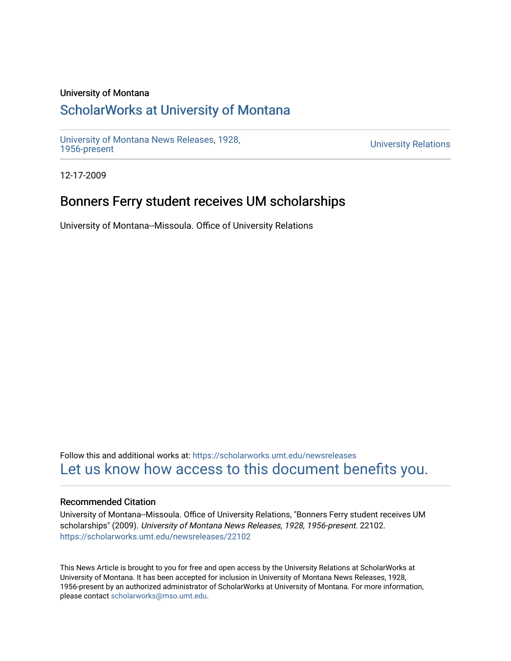#### University of Montana

## [ScholarWorks at University of Montana](https://scholarworks.umt.edu/)

[University of Montana News Releases, 1928,](https://scholarworks.umt.edu/newsreleases) 

**University Relations** 

12-17-2009

# Bonners Ferry student receives UM scholarships

University of Montana--Missoula. Office of University Relations

Follow this and additional works at: [https://scholarworks.umt.edu/newsreleases](https://scholarworks.umt.edu/newsreleases?utm_source=scholarworks.umt.edu%2Fnewsreleases%2F22102&utm_medium=PDF&utm_campaign=PDFCoverPages) [Let us know how access to this document benefits you.](https://goo.gl/forms/s2rGfXOLzz71qgsB2) 

#### Recommended Citation

University of Montana--Missoula. Office of University Relations, "Bonners Ferry student receives UM scholarships" (2009). University of Montana News Releases, 1928, 1956-present. 22102. [https://scholarworks.umt.edu/newsreleases/22102](https://scholarworks.umt.edu/newsreleases/22102?utm_source=scholarworks.umt.edu%2Fnewsreleases%2F22102&utm_medium=PDF&utm_campaign=PDFCoverPages) 

This News Article is brought to you for free and open access by the University Relations at ScholarWorks at University of Montana. It has been accepted for inclusion in University of Montana News Releases, 1928, 1956-present by an authorized administrator of ScholarWorks at University of Montana. For more information, please contact [scholarworks@mso.umt.edu.](mailto:scholarworks@mso.umt.edu)